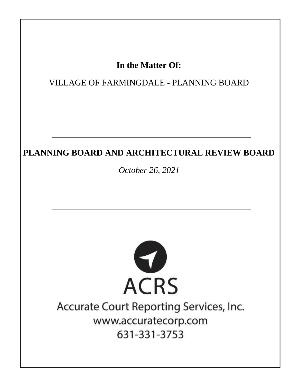## In the Matter Of:

## VILLAGE OF FARMINGDALE - PLANNING BOARD

## PLANNING BOARD AND ARCHITECTURAL REVIEW BOARD

October 26, 2021



# Accurate Court Reporting Services, Inc. www.accuratecorp.com 631-331-3753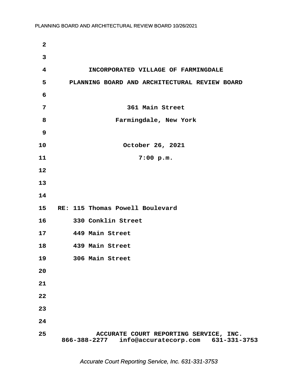| $\mathbf{2}$ |                                                                                              |
|--------------|----------------------------------------------------------------------------------------------|
| 3            |                                                                                              |
| 4            | INCORPORATED VILLAGE OF FARMINGDALE                                                          |
| 5            | PLANNING BOARD AND ARCHITECTURAL REVIEW BOARD                                                |
| 6            |                                                                                              |
| 7            | 361 Main Street                                                                              |
| 8            | Farmingdale, New York                                                                        |
| $\mathbf{9}$ |                                                                                              |
| 10           | October 26, 2021                                                                             |
| 11           | 7:00 p.m.                                                                                    |
| 12           |                                                                                              |
| 13           |                                                                                              |
| 14           |                                                                                              |
| 15           | RE: 115 Thomas Powell Boulevard                                                              |
| 16           | 330 Conklin Street                                                                           |
| 17           | 449 Main Street                                                                              |
| 18           | 439 Main Street                                                                              |
| 19           | 306 Main Street                                                                              |
| 20           |                                                                                              |
| 21           |                                                                                              |
| 22           |                                                                                              |
| 23           |                                                                                              |
| 24           |                                                                                              |
| 25           | ACCURATE COURT REPORTING SERVICE, INC.<br>info@accuratecorp.com 631-331-3753<br>866-388-2277 |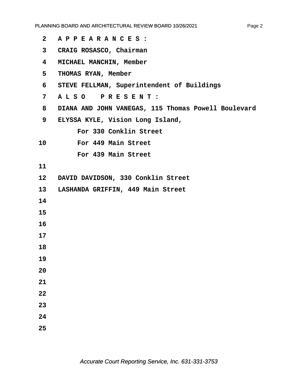- **·2· ·A P P E A R A N C E S :**
- **·3· ·CRAIG ROSASCO, Chairman**
- **·4· ·MICHAEL MANCHIN, Member**
- **·5· ·THOMAS RYAN, Member**
- **·6· ·STEVE FELLMAN, Superintendent of Buildings**
- **·7· ·A L S O· · P R E S E N T :**
- **·8· ·DIANA AND JOHN VANEGAS, 115 Thomas Powell Boulevard**
- **·9· ·ELYSSA KYLE, Vision Long Island,**

For 330 Conklin Street

10 **For 449 Main Street** 

For 439 Main Street

**11**

- 12 DAVID DAVIDSON, 330 Conklin Street
- 13 LASHANDA GRIFFIN, 449 Main Street
- **14**
- **15**
- **16**
- **17**
- **18**
- **19**
- **20**
- 
- **21**
- **22**
- **23**
- **24**
- **25**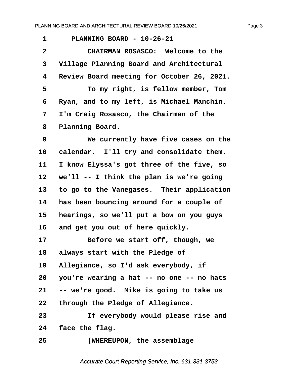| $\mathbf 1$  | PLANNING BOARD - 10-26-21                  |
|--------------|--------------------------------------------|
| $\mathbf{2}$ | CHAIRMAN ROSASCO: Welcome to the           |
| 3            | Village Planning Board and Architectural   |
| 4            | Review Board meeting for October 26, 2021. |
| 5            | To my right, is fellow member, Tom         |
| 6            | Ryan, and to my left, is Michael Manchin.  |
| 7            | I'm Craig Rosasco, the Chairman of the     |
| 8            | Planning Board.                            |
| 9            | We currently have five cases on the        |
| 10           | calendar. I'll try and consolidate them.   |
| 11           | I know Elyssa's got three of the five, so  |
| 12           | we'll -- I think the plan is we're going   |
| 13           | to go to the Vanegases. Their application  |
| 14           | has been bouncing around for a couple of   |
| 15           | hearings, so we'll put a bow on you guys   |
| 16           | and get you out of here quickly.           |
| 17           | Before we start off, though, we            |
| 18           | always start with the Pledge of            |
| 19           | Allegiance, so I'd ask everybody, if       |
| 20           | you're wearing a hat -- no one -- no hats  |
| 21           | -- we're good. Mike is going to take us    |
| 22           | through the Pledge of Allegiance.          |
| 23           | If everybody would please rise and         |
| 24           | face the flag.                             |
| 25           | (WHEREUPON, the assemblage                 |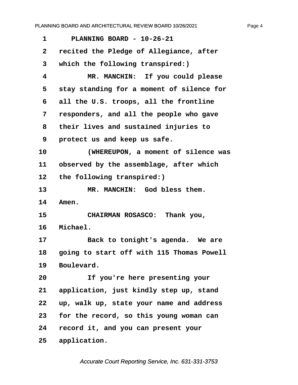<span id="page-4-0"></span>**·1· · · PLANNING BOARD - 10-26-21 ·2· ·recited the Pledge of Allegiance, after ·3· ·which the following transpired:) ·4· · · · · MR. MANCHIN:· If you could please ·5· ·stay standing for a moment of silence for ·6· ·all the U.S. troops, all the frontline ·7· ·responders, and all the people who gave ·8· ·their lives and sustained injuries to ·9· ·protect us and keep us safe. 10· · · · · (WHEREUPON, a moment of silence was** 11 observed by the assemblage, after which 12 the following transpired:) 13 MR. MANCHIN: God bless them. 14 Amen. 15 **• CHAIRMAN ROSASCO:** Thank you, 16 Michael. 17 **Back to tonight's agenda.** We are **18· ·going to start off with 115 Thomas Powell** 19 Boulevard. **20· · · · · If you're here presenting your 21· ·application, just kindly step up, stand 22· ·up, walk up, state your name and address 23· ·for the record, so this young woman can 24· ·record it, and you can present your** 25 application.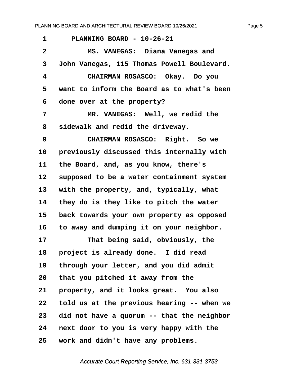<span id="page-5-0"></span>

| $\mathbf 1$  | PLANNING BOARD - 10-26-21                  |
|--------------|--------------------------------------------|
| $\mathbf{2}$ | MS. VANEGAS: Diana Vanegas and             |
| 3            | John Vanegas, 115 Thomas Powell Boulevard. |
| 4            | CHAIRMAN ROSASCO: Okay. Do you             |
| 5            | want to inform the Board as to what's been |
| 6            | done over at the property?                 |
| 7            | MR. VANEGAS: Well, we redid the            |
| 8            | sidewalk and redid the driveway.           |
| 9            | CHAIRMAN ROSASCO: Right. So we             |
| 10           | previously discussed this internally with  |
| 11           | the Board, and, as you know, there's       |
| 12           | supposed to be a water containment system  |
| 13           | with the property, and, typically, what    |
| 14           | they do is they like to pitch the water    |
| 15           | back towards your own property as opposed  |
| 16           | to away and dumping it on your neighbor.   |
| 17           | That being said, obviously, the            |
| 18           | project is already done. I did read        |
| 19           | through your letter, and you did admit     |
| 20           | that you pitched it away from the          |
| 21           | property, and it looks great. You also     |
| 22           | told us at the previous hearing -- when we |
| 23           | did not have a quorum -- that the neighbor |
| 24           | next door to you is very happy with the    |
| 25           | work and didn't have any problems.         |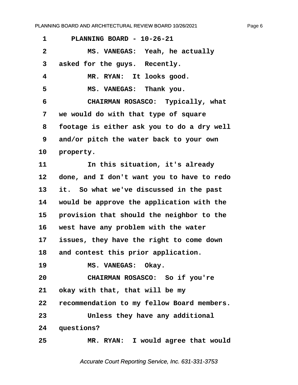<span id="page-6-0"></span>

| 1               | PLANNING BOARD - 10-26-21                  |
|-----------------|--------------------------------------------|
| $\mathbf{2}$    | MS. VANEGAS: Yeah, he actually             |
| 3               | asked for the guys. Recently.              |
| 4               | MR. RYAN: It looks good.                   |
| 5               | MS. VANEGAS: Thank you.                    |
| 6               | CHAIRMAN ROSASCO: Typically, what          |
| 7               | we would do with that type of square       |
| 8               | footage is either ask you to do a dry well |
| 9               | and/or pitch the water back to your own    |
| 10              | property.                                  |
| 11              | In this situation, it's already            |
| 12              | done, and I don't want you to have to redo |
| 13              | it. So what we've discussed in the past    |
| 14              | would be approve the application with the  |
| 15              | provision that should the neighbor to the  |
| 16              | west have any problem with the water       |
| 17 <sub>2</sub> | issues, they have the right to come down   |
| 18              | and contest this prior application.        |
| 19              | MS. VANEGAS: Okay.                         |
| 20              | CHAIRMAN ROSASCO: So if you're             |
| 21              | okay with that, that will be my            |
| 22              | recommendation to my fellow Board members. |
| 23              | Unless they have any additional            |
| 24              | questions?                                 |
| 25              | MR. RYAN: I would agree that would         |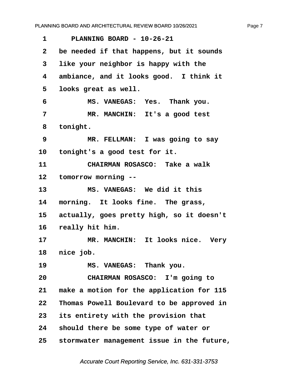<span id="page-7-0"></span>**·1· · · PLANNING BOARD - 10-26-21 ·2· ·be needed if that happens, but it sounds ·3· ·like your neighbor is happy with the ·4· ·ambiance, and it looks good.· I think it ·5· ·looks great as well. ·6· · · · · MS. VANEGAS:· Yes.· Thank you.** 7 **· · · · · MR. MANCHIN:** It's a good test **·8· ·tonight. ·9· · · · · MR. FELLMAN:· I was going to say** 10 tonight's a good test for it. **11· · · · · CHAIRMAN ROSASCO:· Take a walk** 12 tomorrow morning --13 **MS. VANEGAS:** We did it this 14 morning. It looks fine. The grass, 15 actually, goes pretty high, so it doesn't 16 really hit him. 17 MR. MANCHIN: It looks nice. Very 18 nice job. 19 **MS. VANEGAS:** Thank you. **20· · · · · CHAIRMAN ROSASCO:· I'm going to** 21 make a motion for the application for 115 **22· ·Thomas Powell Boulevard to be approved in 23· ·its entirety with the provision that 24· ·should there be some type of water or 25· ·stormwater management issue in the future,**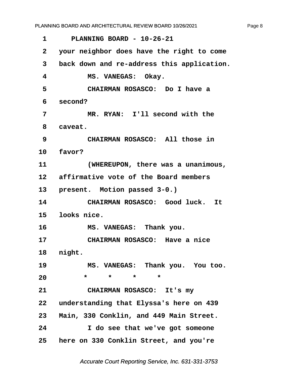<span id="page-8-0"></span>**·1· · · PLANNING BOARD - 10-26-21 ·2· ·your neighbor does have the right to come ·3· ·back down and re-address this application.** 4 **MS. VANEGAS: Okay. ·5· · · · · CHAIRMAN ROSASCO:· Do I have a ·6· ·second?** 7 **MR. RYAN:** I'll second with the 8 **caveat**. **·9· · · · · CHAIRMAN ROSASCO:· All those in** 10 **favor? 11· · · · · (WHEREUPON, there was a unanimous,** 12 affirmative vote of the Board members 13 **present.** Motion passed 3-0.) 14 **CHAIRMAN ROSASCO:** Good luck. It **15· ·looks nice.** 16 **MS. VANEGAS:** Thank you. 17 **• CHAIRMAN ROSASCO:** Have a nice 18 **night.** 19 MS. VANEGAS: Thank you. You too. 20 \* \* \* \* \* **21· · · · · CHAIRMAN ROSASCO:· It's my 22· ·understanding that Elyssa's here on 439 23· ·Main, 330 Conklin, and 449 Main Street. 24· · · · · I do see that we've got someone 25· ·here on 330 Conklin Street, and you're**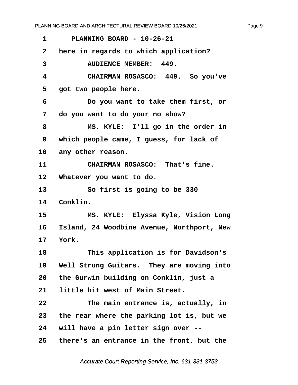<span id="page-9-0"></span>**·1· · · PLANNING BOARD - 10-26-21 ·2· ·here in regards to which application?** 3 AUDIENCE MEMBER: 449. **·4· · · · · CHAIRMAN ROSASCO:· 449.· So you've** 5 got two people here. **·6· · · · · Do you want to take them first, or ·7· ·do you want to do your no show? ·8· · · · · MS. KYLE:· I'll go in the order in ·9· ·which people came, I guess, for lack of** 10 any other reason. 11 **CHAIRMAN ROSASCO:** That's fine. 12 Whatever you want to do. **13· · · · · So first is going to be 330** 14 Conklin. **15· · · · · MS. KYLE:· Elyssa Kyle, Vision Long 16· ·Island, 24 Woodbine Avenue, Northport, New 17· ·York. 18· · · · · This application is for Davidson's** 19 Well Strung Guitars. They are moving into **20· ·the Gurwin building on Conklin, just a** 21 little bit west of Main Street. **22· · · · · The main entrance is, actually, in 23· ·the rear where the parking lot is, but we 24· ·will have a pin letter sign over -- 25· ·there's an entrance in the front, but the**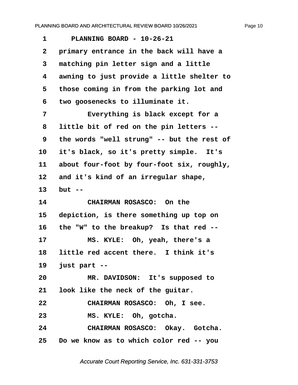<span id="page-10-0"></span>**·1· · · PLANNING BOARD - 10-26-21 ·2· ·primary entrance in the back will have a ·3· ·matching pin letter sign and a little ·4· ·awning to just provide a little shelter to ·5· ·those coming in from the parking lot and ·6· ·two goosenecks to illuminate it. ·7· · · · · Everything is black except for a ·8· ·little bit of red on the pin letters -- ·9· ·the words "well strung" -- but the rest of** 10 it's black, so it's pretty simple. It's 11 about four-foot by four-foot six, roughly, 12 and it's kind of an irregular shape, **13· ·but -- 14· · · · · CHAIRMAN ROSASCO:· On the 15· ·depiction, is there something up top on** 16 the "W" to the breakup? Is that red --17 MS. KYLE: Oh, yeah, there's a 18 little red accent there. I think it's **19· ·just part --** 20 MR. DAVIDSON: It's supposed to **21· ·look like the neck of the guitar. 22· · · · · CHAIRMAN ROSASCO:· Oh, I see.** 23 **MS. KYLE:** Oh, gotcha. **24· · · · · CHAIRMAN ROSASCO:· Okay.· Gotcha. 25· ·Do we know as to which color red -- you**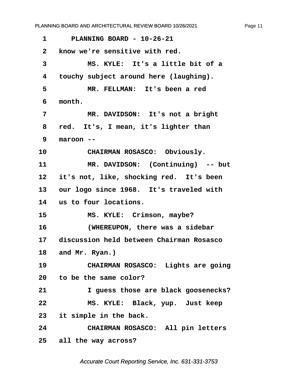<span id="page-11-0"></span>**·1· · · PLANNING BOARD - 10-26-21 ·2· ·know we're sensitive with red. ·3· · · · · MS. KYLE:· It's a little bit of a ·4· ·touchy subject around here (laughing). ·5· · · · · MR. FELLMAN:· It's been a red ·6· ·month.** 7 **\*\* \*\*\* \*\*\* \*\*\* \*\*\* \*\*\* \*\*\* \*\*\* \*\*\* \*\*\* \*\*\* \*\*\* \*\*\* \*\*\* \*\*\* \*\*\* \*\*\* \*\*\* \*\*\* \*\*\* \*\*\* \*\*\* \*\*\* \*\*\* \*\*\* \*\*\* \*\*\* \*\*\* \*\*\* \*\*\* \*\*\* \*\*\* \*\*\* \*\*\* \*\*\* \*\*\* \*\*\* ·8· ·red.· It's, I mean, it's lighter than ·9· ·maroon --** 10 **CHAIRMAN ROSASCO:** Obviously. 11 **MR. DAVIDSON:** (Continuing) -- but 12 it's not, like, shocking red. It's been 13 our logo since 1968. It's traveled with **14· ·us to four locations.** 15 **MS. KYLE:** Crimson, maybe? **16· · · · · (WHEREUPON, there was a sidebar 17· ·discussion held between Chairman Rosasco** 18 and Mr. Ryan.) 19 **CHAIRMAN ROSASCO:** Lights are going **20· ·to be the same color? 21· · · · · I guess those are black goosenecks? 22· · · · · MS. KYLE:· Black, yup.· Just keep** 23 it simple in the back. **24· · · · · CHAIRMAN ROSASCO:· All pin letters 25· ·all the way across?**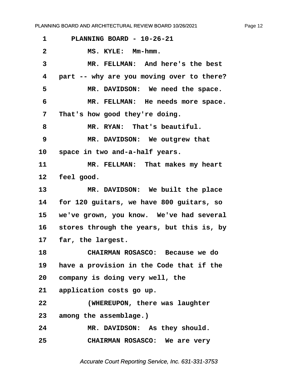<span id="page-12-0"></span>

| 1               | PLANNING BOARD - 10-26-21                 |
|-----------------|-------------------------------------------|
| $\mathbf{2}$    | MS. KYLE: Mm-hmm.                         |
| 3               | MR. FELLMAN: And here's the best          |
| 4               | part -- why are you moving over to there? |
| 5               | MR. DAVIDSON: We need the space.          |
| 6               | MR. FELLMAN: He needs more space.         |
| 7               | That's how good they're doing.            |
| 8               | MR. RYAN: That's beautiful.               |
| 9               | MR. DAVIDSON: We outgrew that             |
| 10              | space in two and-a-half years.            |
| 11              | MR. FELLMAN: That makes my heart          |
| 12              | feel good.                                |
| 13              | MR. DAVIDSON: We built the place          |
| 14              | for 120 guitars, we have 800 guitars, so  |
| 15              | we've grown, you know. We've had several  |
| 16              | stores through the years, but this is, by |
| 17              | far, the largest.                         |
| 18              | CHAIRMAN ROSASCO: Because we do           |
| 19              | have a provision in the Code that if the  |
| 20 <sub>o</sub> | company is doing very well, the           |
| 21              | application costs go up.                  |
| 22              | (WHEREUPON, there was laughter            |
| 23              | among the assemblage.)                    |
| 24              | MR. DAVIDSON: As they should.             |
| 25              | CHAIRMAN ROSASCO: We are very             |

Accurate Court Reporting Service, Inc. 631-331-3753

Page 12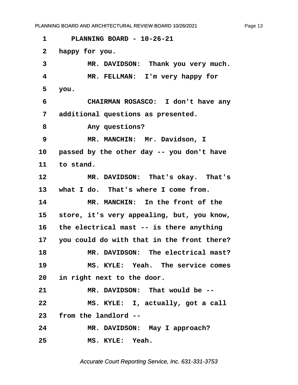<span id="page-13-0"></span>**·1· · · PLANNING BOARD - 10-26-21**

**·2· ·happy for you.**

3 MR. DAVIDSON: Thank you very much. **·4· · · · · MR. FELLMAN:· I'm very happy for ·5· ·you. ·6· · · · · CHAIRMAN ROSASCO:· I don't have any ·7· ·additional questions as presented.** 8 **any questions? ·9· · · · · MR. MANCHIN:· Mr. Davidson, I** 10 **passed by the other day -- you don't have** 11 to stand. 12 MR. DAVIDSON: That's okay. That's 13 what I do. That's where I come from. **14· · · · · MR. MANCHIN:· In the front of the** 15 **store, it's very appealing, but, you know, 16· ·the electrical mast -- is there anything 17· ·you could do with that in the front there?** 18 MR. DAVIDSON: The electrical mast? **19· · · · · MS. KYLE:· Yeah.· The service comes 20· ·in right next to the door.** 21 MR. DAVIDSON: That would be --**22· · · · · MS. KYLE:· I, actually, got a call 23· ·from the landlord --**

24 MR. DAVIDSON: May I approach? **25· · · · · MS. KYLE:· Yeah.**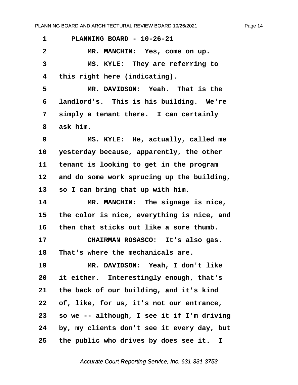<span id="page-14-0"></span>**·1· · · PLANNING BOARD - 10-26-21** 2 MR. MANCHIN: Yes, come on up. **·3· · · · · MS. KYLE:· They are referring to ·4· ·this right here (indicating).** 5 **MR. DAVIDSON: Yeah.** That is the **·6· ·landlord's.· This is his building.· We're ·7· ·simply a tenant there.· I can certainly ·8· ·ask him. ·9· · · · · MS. KYLE:· He, actually, called me** 10 yesterday because, apparently, the other **11· ·tenant is looking to get in the program 12· ·and do some work sprucing up the building,** 13 so I can bring that up with him. **14· · · · · MR. MANCHIN:· The signage is nice, 15· ·the color is nice, everything is nice, and 16· ·then that sticks out like a sore thumb.** 17 **CHAIRMAN ROSASCO:** It's also gas. **18· ·That's where the mechanicals are. 19· · · · · MR. DAVIDSON:· Yeah, I don't like 20· ·it either.· Interestingly enough, that's 21· ·the back of our building, and it's kind 22· ·of, like, for us, it's not our entrance, 23· ·so we -- although, I see it if I'm driving 24· ·by, my clients don't see it every day, but 25· ·the public who drives by does see it. I**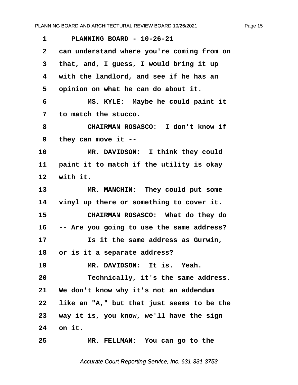<span id="page-15-0"></span>**·1· · · PLANNING BOARD - 10-26-21 ·2· ·can understand where you're coming from on ·3· ·that, and, I guess, I would bring it up ·4· ·with the landlord, and see if he has an ·5· ·opinion on what he can do about it. ·6· · · · · MS. KYLE:· Maybe he could paint it ·7· ·to match the stucco. ·8· · · · · CHAIRMAN ROSASCO:· I don't know if ·9· ·they can move it --** 10 **MR. DAVIDSON:** I think they could 11 **paint it to match if the utility is okay** 12 with it. 13 MR. MANCHIN: They could put some **14· ·vinyl up there or something to cover it. 15· · · · · CHAIRMAN ROSASCO:· What do they do 16· ·-- Are you going to use the same address? 17· · · · · Is it the same address as Gurwin, 18· ·or is it a separate address?** 19 **MR. DAVIDSON:** It is. Yeah. **20· · · · · Technically, it's the same address.** 21 We don't know why it's not an addendum **22· ·like an "A," but that just seems to be the 23· ·way it is, you know, we'll have the sign 24· ·on it. 25· · · · · MR. FELLMAN:· You can go to the**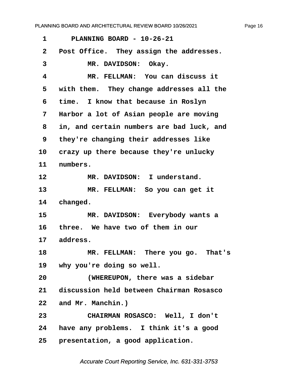<span id="page-16-0"></span>

| 1            | PLANNING BOARD - 10-26-21                 |
|--------------|-------------------------------------------|
| $\mathbf{2}$ | Post Office. They assign the addresses.   |
| 3            | MR. DAVIDSON: Okay.                       |
| 4            | MR. FELLMAN: You can discuss it           |
| 5            | with them. They change addresses all the  |
| 6            | time. I know that because in Roslyn       |
| 7            | Harbor a lot of Asian people are moving   |
| 8            | in, and certain numbers are bad luck, and |
| 9            | they're changing their addresses like     |
| 10           | crazy up there because they're unlucky    |
| 11           | numbers.                                  |
| 12           | MR. DAVIDSON: I understand.               |
| 13           | MR. FELLMAN: So you can get it            |
| 14           | changed.                                  |
| 15           | MR. DAVIDSON: Everybody wants a           |
| 16           | three. We have two of them in our         |
| 17           | address.                                  |
| 18           | MR. FELLMAN: There you go.<br>That's      |
| 19           | why you're doing so well.                 |
| 20           | (WHEREUPON, there was a sidebar           |
| 21           | discussion held between Chairman Rosasco  |
| 22           | and Mr. Manchin.)                         |
| 23           | CHAIRMAN ROSASCO: Well, I don't           |
| 24           | have any problems. I think it's a good    |
| 25           | presentation, a good application.         |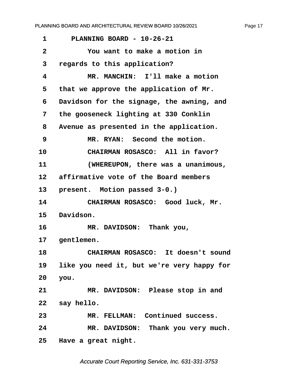<span id="page-17-0"></span>

| 1            | PLANNING BOARD - 10-26-21                  |
|--------------|--------------------------------------------|
| $\mathbf{2}$ | You want to make a motion in               |
| 3            | regards to this application?               |
| 4            | MR. MANCHIN: I'll make a motion            |
| 5            | that we approve the application of Mr.     |
| 6            | Davidson for the signage, the awning, and  |
| 7            | the gooseneck lighting at 330 Conklin      |
| 8            | Avenue as presented in the application.    |
| 9            | MR. RYAN: Second the motion.               |
| 10           | CHAIRMAN ROSASCO: All in favor?            |
| 11           | (WHEREUPON, there was a unanimous,         |
| 12           | affirmative vote of the Board members      |
| 13           | present. Motion passed 3-0.)               |
| 14           | CHAIRMAN ROSASCO: Good luck, Mr.           |
| 15           | Davidson.                                  |
| 16           | MR. DAVIDSON: Thank you,                   |
| 17           | gentlemen.                                 |
| 18           | CHAIRMAN ROSASCO: It doesn't sound         |
| 19           | like you need it, but we're very happy for |
| 20           | you.                                       |
| 21           | MR. DAVIDSON: Please stop in and           |
| 22           | say hello.                                 |
| 23           | MR. FELLMAN: Continued success.            |
| 24           | MR. DAVIDSON: Thank you very much.         |
| 25           | Have a great night.                        |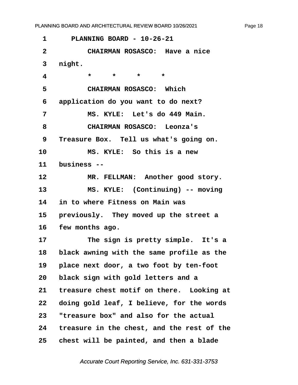<span id="page-18-0"></span>**·1· · · PLANNING BOARD - 10-26-21 ·2· · · · · CHAIRMAN ROSASCO:· Have a nice ·3· ·night. ·4· · · · · \*· · ·\*· · ·\*· · ·\* ·5· · · · · CHAIRMAN ROSASCO:· Which ·6· ·application do you want to do next? ·7· · · · · MS. KYLE:· Let's do 449 Main. ·8· · · · · CHAIRMAN ROSASCO:· Leonza's ·9· ·Treasure Box.· Tell us what's going on. 10· · · · · MS. KYLE:· So this is a new** 11 business --12 MR. FELLMAN: Another good story. 13 MS. KYLE: (Continuing) -- moving **14· ·in to where Fitness on Main was** 15 **previously.** They moved up the street a **16· ·few months ago.** 17 **The sign is pretty simple.** It's a **18· ·black awning with the same profile as the 19· ·place next door, a two foot by ten-foot 20· ·black sign with gold letters and a** 21 treasure chest motif on there. Looking at **22· ·doing gold leaf, I believe, for the words 23· ·"treasure box" and also for the actual 24· ·treasure in the chest, and the rest of the 25· ·chest will be painted, and then a blade**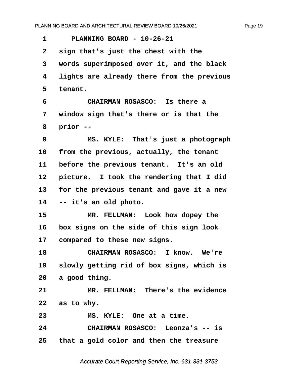<span id="page-19-0"></span>**·1· · · PLANNING BOARD - 10-26-21 ·2· ·sign that's just the chest with the ·3· ·words superimposed over it, and the black ·4· ·lights are already there from the previous ·5· ·tenant. ·6· · · · · CHAIRMAN ROSASCO:· Is there a ·7· ·window sign that's there or is that the ·8· ·prior -- ·9· · · · · MS. KYLE:· That's just a photograph** 10 from the previous, actually, the tenant 11 before the previous tenant. It's an old 12 **picture.** I took the rendering that I did **13· ·for the previous tenant and gave it a new 14· ·-- it's an old photo.** 15 **MR. FELLMAN:** Look how dopey the **16· ·box signs on the side of this sign look** 17 compared to these new signs. **18· · · · · CHAIRMAN ROSASCO:· I know.· We're 19· ·slowly getting rid of box signs, which is 20· ·a good thing. 21· · · · · MR. FELLMAN:· There's the evidence 22· ·as to why.** 23 MS. KYLE: One at a time. **24· · · · · CHAIRMAN ROSASCO:· Leonza's -- is 25· ·that a gold color and then the treasure**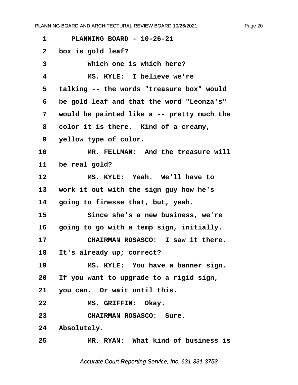<span id="page-20-0"></span>**·1· · · PLANNING BOARD - 10-26-21 ·2· ·box is gold leaf? ·3· · · · · Which one is which here? ·4· · · · · MS. KYLE:· I believe we're ·5· ·talking -- the words "treasure box" would ·6· ·be gold leaf and that the word "Leonza's" ·7· ·would be painted like a -- pretty much the** 8 color it is there. Kind of a creamy, **·9· ·yellow type of color. 10· · · · · MR. FELLMAN:· And the treasure will** 11 be real gold? 12 MS. KYLE: Yeah. We'll have to **13· ·work it out with the sign guy how he's** 14 **going to finesse that, but, yeah. 15· · · · · Since she's a new business, we're** 16 **going to go with a temp sign, initially. 17· · · · · CHAIRMAN ROSASCO:· I saw it there.** 18 It's already up; correct? 19 MS. KYLE: You have a banner sign. **20· ·If you want to upgrade to a rigid sign,** 21 you can. Or wait until this. 22 **MS. GRIFFIN: Okay. 23· · · · · CHAIRMAN ROSASCO:· Sure.** 24 Absolutely.

**25· · · · · MR. RYAN:· What kind of business is**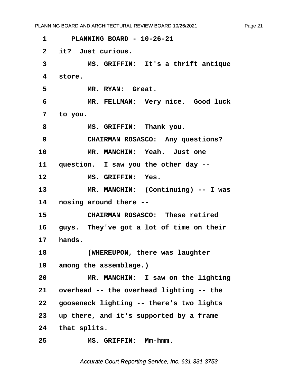<span id="page-21-0"></span>**·1· · · PLANNING BOARD - 10-26-21 ·2· ·it?· Just curious. ·3· · · · · MS. GRIFFIN:· It's a thrift antique ·4· ·store.** 5 MR. RYAN: Great. **·6· · · · · MR. FELLMAN:· Very nice.· Good luck ·7· ·to you.** 8 **MS. GRIFFIN: Thank you. ·9· · · · · CHAIRMAN ROSASCO:· Any questions?** 10 MR. MANCHIN: Yeah. Just one 11 question. I saw you the other day --12 **MS. GRIFFIN: Yes.** 13 MR. MANCHIN: (Continuing) -- I was **14· ·nosing around there -- 15· · · · · CHAIRMAN ROSASCO:· These retired** 16 guys. They've got a lot of time on their **17· ·hands. 18· · · · · (WHEREUPON, there was laughter** 19 among the assemblage.) **20· · · · · MR. MANCHIN:· I saw on the lighting 21· ·overhead -- the overhead lighting -- the 22· ·gooseneck lighting -- there's two lights 23· ·up there, and it's supported by a frame** 24 that splits. **25· · · · · MS. GRIFFIN:· Mm-hmm.** PLANNING BOARD AND ARCHITECTURAL REVIEW BOARD 10/26/2021

Page 21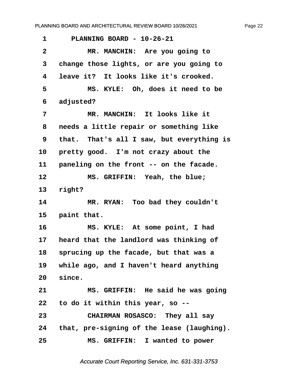<span id="page-22-0"></span>**·1· · · PLANNING BOARD - 10-26-21 ·2· · · · · MR. MANCHIN:· Are you going to ·3· ·change those lights, or are you going to ·4· ·leave it?· It looks like it's crooked. ·5· · · · · MS. KYLE:· Oh, does it need to be ·6· ·adjusted? ·7· · · · · MR. MANCHIN:· It looks like it ·8· ·needs a little repair or something like ·9· ·that.· That's all I saw, but everything is** 10 **pretty good.** I'm not crazy about the 11 paneling on the front -- on the facade. 12 **MS. GRIFFIN: Yeah, the blue;** 13 right? 14 MR. RYAN: Too bad they couldn't 15 **paint that.** 16 **MS. KYLE:** At some point, I had 17 **heard that the landlord was thinking of 18· ·sprucing up the facade, but that was a** 19 while ago, and I haven't heard anything 20 since. **21· · · · · MS. GRIFFIN:· He said he was going 22· ·to do it within this year, so --**

**23· · · · · CHAIRMAN ROSASCO:· They all say 24· ·that, pre-signing of the lease (laughing). 25· · · · · MS. GRIFFIN:· I wanted to power**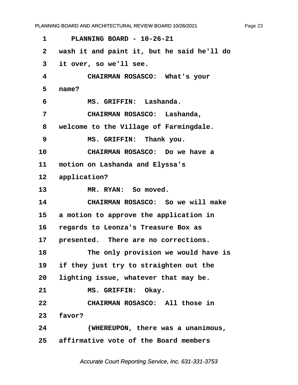<span id="page-23-0"></span>**·1· · · PLANNING BOARD - 10-26-21 ·2· ·wash it and paint it, but he said he'll do ·3· ·it over, so we'll see. ·4· · · · · CHAIRMAN ROSASCO:· What's your ·5· ·name? ·6· · · · · MS. GRIFFIN:· Lashanda. ·7· · · · · CHAIRMAN ROSASCO:· Lashanda, ·8· ·welcome to the Village of Farmingdale. ·9· · · · · MS. GRIFFIN:· Thank you. 10· · · · · CHAIRMAN ROSASCO:· Do we have a** 11 motion on Lashanda and Elyssa's 12 application? 13 MR. RYAN: So moved. **14· · · · · CHAIRMAN ROSASCO:· So we will make** 15 a motion to approve the application in **16· ·regards to Leonza's Treasure Box as** 17 **presented.** There are no corrections. **18· · · · · The only provision we would have is** 19 if they just try to straighten out the 20 lighting issue, whatever that may be. 21 **MS. GRIFFIN: Okay. 22· · · · · CHAIRMAN ROSASCO:· All those in** 23 **favor? 24· · · · · (WHEREUPON, there was a unanimous, 25· ·affirmative vote of the Board members**

Accurate Court Reporting Service, Inc. 631-331-3753

Page 23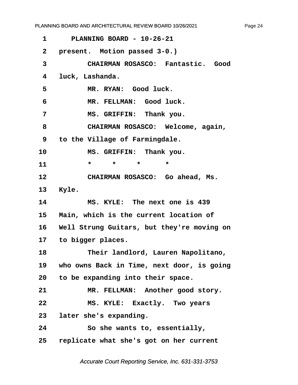Page 24

<span id="page-24-0"></span>

| PLANNING BOARD - 10-26-21                     |
|-----------------------------------------------|
| present. Motion passed 3-0.)                  |
| CHAIRMAN ROSASCO: Fantastic. Good             |
| luck, Lashanda.                               |
| MR. RYAN: Good luck.                          |
| MR. FELLMAN: Good luck.                       |
| MS. GRIFFIN: Thank you.                       |
| CHAIRMAN ROSASCO: Welcome, again,             |
| to the Village of Farmingdale.                |
| MS. GRIFFIN: Thank you.                       |
| $\star$<br>$\star$<br>$\star$<br>$\star$      |
| CHAIRMAN ROSASCO: Go ahead, Ms.               |
| Kyle.                                         |
| MS. KYLE: The next one is 439                 |
| Main, which is the current location of<br>15  |
| 16 Well Strung Guitars, but they're moving on |
|                                               |
| 17 to bigger places.                          |
| Their landlord, Lauren Napolitano,            |
| who owns Back in Time, next door, is going    |
| 20 to be expanding into their space.          |
| MR. FELLMAN: Another good story.              |
| MS. KYLE: Exactly. Two years                  |
| later she's expanding.                        |
| So she wants to, essentially,                 |
|                                               |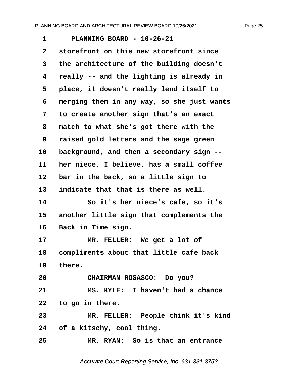<span id="page-25-0"></span>**·1· · · PLANNING BOARD - 10-26-21 ·2· ·storefront on this new storefront since ·3· ·the architecture of the building doesn't ·4· ·really -- and the lighting is already in ·5· ·place, it doesn't really lend itself to ·6· ·merging them in any way, so she just wants ·7· ·to create another sign that's an exact ·8· ·match to what she's got there with the ·9· ·raised gold letters and the sage green** 10 background, and then a secondary sign --11 **her niece, I believe, has a small coffee** 12 **bar in the back, so a little sign to** 13 indicate that that is there as well. **14· · · · · So it's her niece's cafe, so it's** 15 another little sign that complements the 16 Back in Time sign. 17 MR. FELLER: We get a lot of **18· ·compliments about that little cafe back** 19 there. **20· · · · · CHAIRMAN ROSASCO:· Do you? 21· · · · · MS. KYLE:· I haven't had a chance 22· ·to go in there. 23· · · · · MR. FELLER:· People think it's kind 24· ·of a kitschy, cool thing. 25· · · · · MR. RYAN:· So is that an entrance**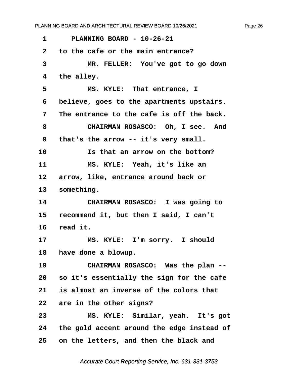<span id="page-26-0"></span>**·1· · · PLANNING BOARD - 10-26-21 ·2· ·to the cafe or the main entrance? ·3· · · · · MR. FELLER:· You've got to go down ·4· ·the alley.** 5 **8 MS. KYLE:** That entrance, I **·6· ·believe, goes to the apartments upstairs. ·7· ·The entrance to the cafe is off the back.** 8 **CHAIRMAN ROSASCO:** Oh, I see. And **·9· ·that's the arrow -- it's very small.** 10 **10 15 that an arrow on the bottom?** 11 **MS. KYLE:** Yeah, it's like an 12 arrow, like, entrance around back or 13 something. **14· · · · · CHAIRMAN ROSASCO:· I was going to 15· ·recommend it, but then I said, I can't** 16 read it. 17 MS. KYLE: I'm sorry. I should 18 have done a blowup. **19· · · · · CHAIRMAN ROSASCO:· Was the plan -- 20· ·so it's essentially the sign for the cafe 21· ·is almost an inverse of the colors that** 22 are in the other signs? **23· · · · · MS. KYLE:· Similar, yeah.· It's got 24· ·the gold accent around the edge instead of 25· ·on the letters, and then the black and**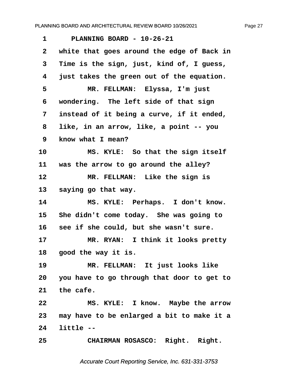<span id="page-27-0"></span>**·1· · · PLANNING BOARD - 10-26-21 ·2· ·white that goes around the edge of Back in ·3· ·Time is the sign, just, kind of, I guess, ·4· ·just takes the green out of the equation. ·5· · · · · MR. FELLMAN:· Elyssa, I'm just ·6· ·wondering.· The left side of that sign ·7· ·instead of it being a curve, if it ended, ·8· ·like, in an arrow, like, a point -- you ·9· ·know what I mean?** 10 MS. KYLE: So that the sign itself 11 was the arrow to go around the alley? 12 **MR. FELLMAN:** Like the sign is 13 saying go that way. 14 MS. KYLE: Perhaps. I don't know. 15 She didn't come today. She was going to 16 see if she could, but she wasn't sure. 17 **MR. RYAN:** I think it looks pretty 18 **good the way it is.** 19 **MR. FELLMAN:** It just looks like **20· ·you have to go through that door to get to** 21 the cafe. 22 MS. KYLE: I know. Maybe the arrow **23· ·may have to be enlarged a bit to make it a 24· ·little -- 25· · · · · CHAIRMAN ROSASCO:· Right.· Right.**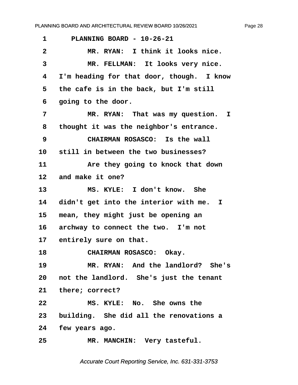<span id="page-28-0"></span>

| 1               | PLANNING BOARD - 10-26-21                  |
|-----------------|--------------------------------------------|
| $\mathbf{2}$    | MR. RYAN: I think it looks nice.           |
| 3               | MR. FELLMAN: It looks very nice.           |
| 4               | I'm heading for that door, though. I know  |
| 5               | the cafe is in the back, but I'm still     |
| 6               | going to the door.                         |
| 7               | MR. RYAN: That was my question.<br>I.      |
| 8               | thought it was the neighbor's entrance.    |
| 9               | CHAIRMAN ROSASCO: Is the wall              |
| 10              | still in between the two businesses?       |
| 11              | Are they going to knock that down          |
| 12              | and make it one?                           |
| 13              | MS. KYLE: I don't know. She                |
| 14              | didn't get into the interior with me. I    |
| 15              | mean, they might just be opening an        |
| 16              | archway to connect the two. I'm not        |
| 17              | entirely sure on that.                     |
| 18              | CHAIRMAN ROSASCO: Okay.                    |
| 19              | MR. RYAN: And the landlord? She's          |
|                 | 20 not the landlord. She's just the tenant |
|                 | 21 there; correct?                         |
| 22              | MS. KYLE: No. She owns the                 |
| 23              | building. She did all the renovations a    |
|                 | 24 few years ago.                          |
| 25 <sub>2</sub> | MR. MANCHIN: Very tasteful.                |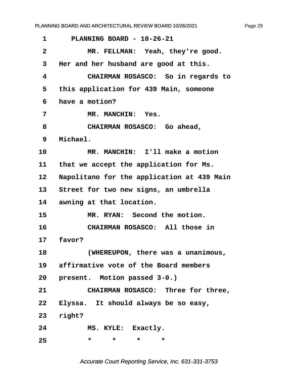Page 29

<span id="page-29-0"></span>

| 1            | PLANNING BOARD - 10-26-21                  |
|--------------|--------------------------------------------|
| $\mathbf{2}$ | MR. FELLMAN: Yeah, they're good.           |
| 3            | Her and her husband are good at this.      |
| 4            | CHAIRMAN ROSASCO: So in regards to         |
| 5            | this application for 439 Main, someone     |
| 6            | have a motion?                             |
| 7            | MR. MANCHIN: Yes.                          |
| 8            | CHAIRMAN ROSASCO: Go ahead,                |
| 9            | Michael.                                   |
| 10           | MR. MANCHIN: I'll make a motion            |
| 11           | that we accept the application for Ms.     |
| 12           | Napolitano for the application at 439 Main |
| 13           | Street for two new signs, an umbrella      |
| 14           | awning at that location.                   |
| 15           | MR. RYAN: Second the motion.               |
| 16           | CHAIRMAN ROSASCO: All those in             |
| 17           | favor?                                     |
| 18           | (WHEREUPON, there was a unanimous,         |
|              | 19 affirmative vote of the Board members   |
|              | 20 present. Motion passed 3-0.)            |
| 21           | CHAIRMAN ROSASCO: Three for three,         |
| 22           | Elyssa. It should always be so easy,       |
| 23           | right?                                     |
| 24           | MS. KYLE: Exactly.                         |
| 25           | $\star$<br>$\star$<br>$\star$<br>$\star$   |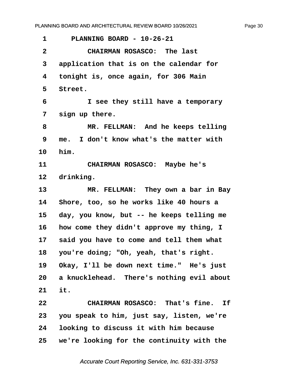| 1               | PLANNING BOARD - 10-26-21                    |
|-----------------|----------------------------------------------|
| $\mathbf{2}$    | CHAIRMAN ROSASCO: The last                   |
| 3               | application that is on the calendar for      |
| 4               | tonight is, once again, for 306 Main         |
| 5               | Street.                                      |
| 6               | I see they still have a temporary            |
| 7               | sign up there.                               |
| 8               | MR. FELLMAN: And he keeps telling            |
| 9               | I don't know what's the matter with<br>me.   |
| 10              | him.                                         |
| 11              | CHAIRMAN ROSASCO: Maybe he's                 |
| 12              | drinking.                                    |
| 13              | MR. FELLMAN: They own a bar in Bay           |
| 14              | Shore, too, so he works like 40 hours a      |
| 15              | day, you know, but -- he keeps telling me    |
| 16              | how come they didn't approve my thing, I     |
| 17 <sub>2</sub> | said you have to come and tell them what     |
| 18              | you're doing; "Oh, yeah, that's right.       |
| 19              | Okay, I'll be down next time." He's just     |
|                 | 20 a knucklehead. There's nothing evil about |
| 21              | it.                                          |
| 22              | CHAIRMAN ROSASCO: That's fine. If            |
| 23              | you speak to him, just say, listen, we're    |
| 24              | looking to discuss it with him because       |
| 25              | we're looking for the continuity with the    |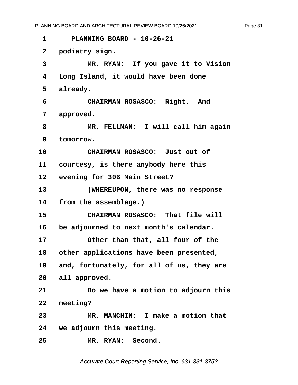**·1· · · PLANNING BOARD - 10-26-21**

2 **podiatry** sign. **·3· · · · · MR. RYAN:· If you gave it to Vision ·4· ·Long Island, it would have been done** 5 already. 6 **· · CHAIRMAN ROSASCO:** Right. And 7 approved. **·8· · · · · MR. FELLMAN:· I will call him again ·9· ·tomorrow. 10· · · · · CHAIRMAN ROSASCO:· Just out of** 11 **courtesy, is there anybody here this** 12 evening for 306 Main Street? **13· · · · · (WHEREUPON, there was no response** 14 from the assemblage.) **15· · · · · CHAIRMAN ROSASCO:· That file will** 16 be adjourned to next month's calendar. 17 **• Other than that, all four of the** 18 other applications have been presented, **19· ·and, fortunately, for all of us, they are** 20 all approved. **21· · · · · Do we have a motion to adjourn this 22· ·meeting? 23· · · · · MR. MANCHIN:· I make a motion that 24· ·we adjourn this meeting.**

25 MR. RYAN: Second.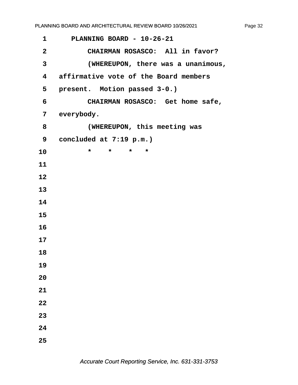| 1                       | PLANNING BOARD - 10-26-21             |
|-------------------------|---------------------------------------|
| $\mathbf{2}$            | CHAIRMAN ROSASCO: All in favor?       |
| $\overline{\mathbf{3}}$ | (WHEREUPON, there was a unanimous,    |
| $\overline{\mathbf{4}}$ | affirmative vote of the Board members |
| 5                       | present. Motion passed 3-0.)          |
| 6                       | CHAIRMAN ROSASCO: Get home safe,      |
| 7                       | everybody.                            |
| 8                       | (WHEREUPON, this meeting was          |
| 9                       | concluded at 7:19 p.m.)               |
| 10                      | $\star$ $\star$<br>$\star$<br>$\star$ |
| 11                      |                                       |
| 12                      |                                       |
| 13                      |                                       |
| 14                      |                                       |
| 15                      |                                       |
| 16                      |                                       |
| 17                      |                                       |
| 18                      |                                       |
| 19                      |                                       |
| 20                      |                                       |
| 21                      |                                       |
| 22                      |                                       |
| 23                      |                                       |
| 24                      |                                       |
| 25                      |                                       |
|                         |                                       |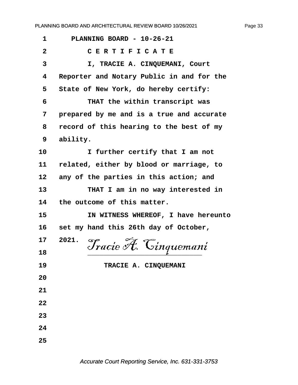| 1              | PLANNING BOARD - 10-26-21                 |
|----------------|-------------------------------------------|
| $\overline{2}$ | CERTIFICATE                               |
| 3              | I, TRACIE A. CINQUEMANI, Court            |
| 4              | Reporter and Notary Public in and for the |
| 5              | State of New York, do hereby certify:     |
| 6              | THAT the within transcript was            |
| 7              | prepared by me and is a true and accurate |
| 8              | record of this hearing to the best of my  |
| 9              | ability.                                  |
| 10             | I further certify that I am not           |
| 11             | related, either by blood or marriage, to  |
| 12             | any of the parties in this action; and    |
| 13             | THAT I am in no way interested in         |
| 14             | the outcome of this matter.               |
| 15             | IN WITNESS WHEREOF, I have hereunto       |
| 16             | set my hand this 26th day of October,     |
| 17             | 2021.<br>Tracie A. Cinquemani             |
| 18             |                                           |
| 19             | TRACIE A. CINQUEMANI                      |
| 20             |                                           |
| 21             |                                           |
| 22             |                                           |
| 23             |                                           |
| 24             |                                           |
| 25             |                                           |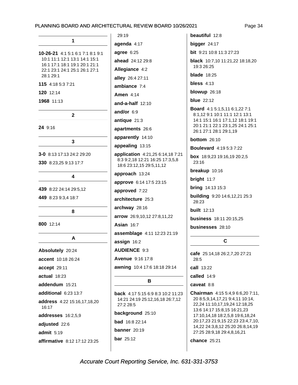| 1                                                                                                                                                                                                                 |  |
|-------------------------------------------------------------------------------------------------------------------------------------------------------------------------------------------------------------------|--|
| <b>10-26-21</b> 4:1   5:1   6:1   7:1   8:1   9:1<br>10:1 11:1 12:1 13:1 14:1 15:1<br>16:1 17:1 18:1 19:1 20:1 21:1<br>22:1 23:1 24:1 25:1 26:1 27:1<br>28:1 29:1<br>115 4:18 5:3 7:21<br>120 12:14<br>1968 11:13 |  |
|                                                                                                                                                                                                                   |  |
| 2                                                                                                                                                                                                                 |  |
| 24 9:16                                                                                                                                                                                                           |  |
| 3                                                                                                                                                                                                                 |  |
| <b>3-0</b> 8:13 17:13 24:2 29:20                                                                                                                                                                                  |  |
| 330 8:23,25 9:13 17:7                                                                                                                                                                                             |  |
| 4                                                                                                                                                                                                                 |  |
| 439 8:22 24:14 29:5,12                                                                                                                                                                                            |  |
| 449 8:23 9:3,4 18:7                                                                                                                                                                                               |  |
| 8                                                                                                                                                                                                                 |  |
| 800 12:14                                                                                                                                                                                                         |  |
| А                                                                                                                                                                                                                 |  |
| Absolutely 20:24                                                                                                                                                                                                  |  |
| accent 10:18 26:24                                                                                                                                                                                                |  |
| accept 29:11                                                                                                                                                                                                      |  |
| actual 18:23                                                                                                                                                                                                      |  |
| addendum 15:21                                                                                                                                                                                                    |  |
| additional 6:23 13:7                                                                                                                                                                                              |  |
| address 4:22 15:16,17,18,20<br>16:17                                                                                                                                                                              |  |
| addresses 16:2,5,9                                                                                                                                                                                                |  |
| adjusted 22:6                                                                                                                                                                                                     |  |
| admit 5:19                                                                                                                                                                                                        |  |
| <b>affirmative</b> 8:12 17:12 23:25                                                                                                                                                                               |  |

29:19 agenda 4:17 agree 6:25 ahead 24:12 29:8 Allegiance 4:2 alley 26:4 27:11 ambiance  $7:4$ **Amen 4:14** and-a-half 12:10 and/or 6:9 antique 21:3 apartments 26:6 apparently 14:10 appealing 13:15 application 4:21,25 6:14,18 7:21 8:3 9:2,18 12:21 16:25 17:3,5,8 18:6 23:12,15 29:5,11,12 approach 13:24 approve 6:14 17:5 23:15 approved 7:22 architecture 25:3 archway 28:16 arrow 26:9,10,12 27:8,11,22 **Asian 16:7** assemblage 4:11 12:23 21:19 assign 16:2 **AUDIENCE 9:3** Avenue 9:16 17:8 awning 10:4 17:6 18:18 29:14 B back 4:17 5:15 6:9 8:3 10:2 11:23 14:21 24:19 25:12,16,18 26:7,12

27:2 28:5

background 25:10

**bad** 16:8 22:14

banner 20:19

**bar** 25:12

beautiful 12:8 bigger 24:17 **bit** 9:21 10:8 11:3 27:23 black 10:7,10 11:21,22 18:18,20 19:3 26:25 blade  $18:25$ bless  $4:13$ blowup 26:18 **blue** 22:12 Board 4:1 5:1,5,11 6:1,22 7:1 8:1,12 9:1 10:1 11:1 12:1 13:1 14:1 15:1 16:1 17:1,12 18:1 19:1 20:1 21:1 22:1 23:1,25 24:1 25:1 26:1 27:1 28:1 29:1,19 bottom 26:10 **Boulevard** 4:19 5:3 7:22 box 18:9,23 19:16,19 20:2,5  $23:16$ breakup 10:16 bright 11:7 **bring** 14:13 15:3 building 9:20 14:6,12,21 25:3 28:23 **built** 12:13 **business** 18:11 20:15.25 businesses 28:10 C

cafe 25:14,18 26:2,7,20 27:21  $28:5$ 

call 13:22

called 14:9

caveat 8:8

Chairman 4:15 5:4,9 6:6,20 7:11, 20 8:5,9,14,17,21 9:4,11 10:14, 22,24 11:10,17,19,24 12:18,25 13:6 14:17 15:8,15 16:21,23 17:10,14,18 18:2,5,8 19:6,18,24 20:17,23 21:9,15 22:23 23:4,7,10, 14,22 24:3,8,12 25:20 26:8,14,19 27:25 28:9,18 29:4,8,16,21

chance 25:21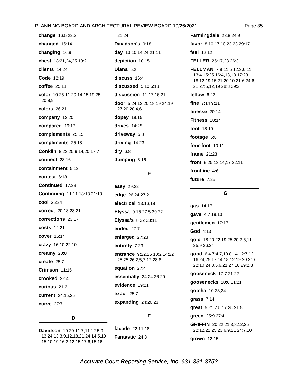change 16:5 22:3 changed 16:14 changing 16:9 chest 18:21,24,25 19:2 clients 14:24 Code 12:19 coffee 25:11 color 10:25 11:20 14:15 19:25 20:8.9 colors 26:21 company 12:20 compared 19:17 complements 25:15 compliments 25:18 Conklin 8:23,25 9:14,20 17:7 connect 28:16 containment 5:12 contest 6:18 Continued 17:23 Continuing 11:11 18:13 21:13 cool 25:24 correct 20:18 28:21 corrections 23:17 **costs** 12:21 cover 15:14 crazy 16:10 22:10 creamy 20:8 create  $25:7$ Crimson 11:15 crooked 22:4 curious 21:2 current 24:15.25 curve 27:7

Davidson 10:20 11:7,11 12:5,9, 13,24 13:3,9,12,18,21,24 14:5,19 15:10,19 16:3,12,15 17:6,15,16,

D

21.24 Davidson's 9:18 day 13:10 14:24 21:11 depiction 10:15 Diana  $5:2$ discuss 16:4 discussed  $5:106:13$ discussion 11:17 16:21 door 5:24 13:20 18:19 24:19 27:20 28:4,6 dopey 19:15 drives  $14:25$ driveway 5:8 driving 14:23  $dry$  6:8 dumping 5:16

#### E

easy 29:22 edge 26:24 27:2 electrical 13:16,18 Elyssa 9:15 27:5 29:22 Elyssa's 8:22 23:11 ended 27:7 enlarged 27:23 entirety 7:23 entrance 9:22,25 10:2 14:22 25:25 26:2,5,7,12 28:8 equation 27:4 essentially 24:24 26:20 evidence 19:21 exact 25:7 expanding 24:20,23 F

facade 22:11.18 Fantastic 24:3

Farmingdale 23:8 24:9 favor 8:10 17:10 23:23 29:17 feel 12:12 FELLER 25:17,23 26:3 FELLMAN 7:9 11:5 12:3.6.11 13:4 15:25 16:4,13,18 17:23 18:12 19:15,21 20:10 21:6 24:6, 21 27:5,12,19 28:3 29:2 fellow  $6:22$ fine 7:14 9:11 finesse  $20:14$ Fitness 18:14 foot 18:19 footage 6:8 four-foot 10:11 frame  $21:23$ front 9:25 13:14,17 22:11 frontline 4:6 future 7:25

#### G

gas 14:17 gave 4:7 19:13 qentlemen 17:17 God 4:13 gold 18:20,22 19:25 20:2,6,11 25:9 26:24 good 6:4 7:4,7,10 8:14 12:7,12 16:24,25 17:14 18:12 19:20 21:6 22:10 24:3,5,6,21 27:18 29:2,3 gooseneck 17:7 21:22 goosenecks 10:6 11:21 qotcha 10:23,24 grass  $7:14$ great 5:21 7:5 17:25 21:5 green 25:9 27:4 GRIFFIN 20:22 21:3.8.12.25 22:12,21,25 23:6,9,21 24:7,10 grown 12:15

Page 35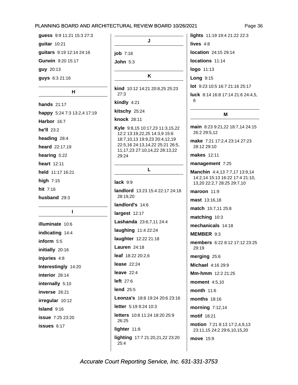```
guess 9:9 11:21 15:3 27:3
guitar 10:21
quitars 9:19 12:14 24:16
Gurwin 9:20 15:17
guy 20:13
guys 6:3 21:16
```
#### $H$

**hands** 21:17 happy 5:24 7:3 13:2,4 17:19 Harbor 16:7 he'll 23:2 heading 28:4 heard 22:17,19 hearing 5:22 heart 12:11 held 11:17 16:21 high  $7:15$ hit 7:16 husband 29:3

 $\mathbf{I}$ 

illuminate 10:6 indicating 14:4 inform 5:5 initially 20:16 injuries 4:8 Interestingly 14:20 interior 28:14 internally 5:10 inverse 26:21 irregular 10:12 Island 9:16 **issue** 7:25 23:20 issues 6:17

```
J
job 7:18
John 5:3
```
K

kind 10:12 14:21 20:8,25 25:23  $27:3$ kindly 4:21

kitschy 25:24

knock 28:11

Kyle 9:8,15 10:17,23 11:3,15,22 12:2 13:19,22,25 14:3,9 15:6 18:7,10,13 19:9,23 20:4,12,19 22:5,16 24:13,14,22 25:21 26:5, 11, 17, 23 27: 10, 14, 22 28: 13, 22 29:24

#### L

lack  $9:9$ landlord 13:23 15:4 22:17 24:18 28:19.20 landlord's 14:6 largest 12:17 Lashanda 23:6,7,11 24:4 laughing 11:4 22:24 laughter 12:22 21:18 **Lauren** 24:18 leaf 18:22 20:2,6 **lease** 22:24 leave  $22:4$ left 27:6 lend  $25:5$ Leonza's 18:8 19:24 20:6 23:16 letter 5:19 9:24 10:3 letters 10:8 11:24 18:20 25:9 26:25 lighter 11:8 lighting 17:7 21:20,21,22 23:20 25:4

lights 11:19 19:4 21:22 22:3 lives  $4:8$ location 24:15 29:14 locations 11:14 logo 11:13 **Long 9:15** lot 9:23 10:5 16:7 21:16 25:17 luck 8:14 16:8 17:14 21:6 24:4,5, ĥ.

#### M

main 8:23 9:21,22 18:7,14 24:15 26:2 29:5,12

make 7:21 17:2,4 23:14 27:23 28:12 29:10

**makes** 12:11

management 7:25

Manchin 4:4.13 7:7.17 13:9.14 14:2,14 15:13 16:22 17:4 21:10, 13,20 22:2,7 28:25 29:7,10

maroon 11:9 mast 13:16,18 match 15:7,11 25:8 matching 10:3 mechanicals 14:18 MEMBER 9:3 members 6:22 8:12 17:12 23:25 29:19 merging 25:6 Michael 4:16 29:9 Mm-hmm 12:2 21:25 **moment** 4:5.10 month 11:6 months 18:16 morning 7:12,14 motif 18:21 motion 7:21 8:13 17:2,4,9,13 23:11,15 24:2 29:6,10,15,20 move 15:9

Page 36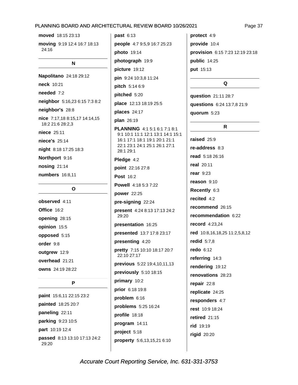moved 18:15 23:13

moving 9:19 12:4 16:7 18:13  $24:16$ 

#### N

Napolitano 24:18 29:12 neck 10:21 needed 7:2 neighbor 5:16,23 6:15 7:3 8:2 neighbor's 28:8 nice 7:17,18 8:15,17 14:14,15 18:2 21:6 28:2,3 niece 25:11 niece's 25:14 night 8:18 17:25 18:3 Northport 9:16 nosing 21:14 numbers 16:8.11

#### O

observed 4:11 Office 16:2 opening 28:15 opinion 15:5 opposed 5:15 order 9:8 outgrew 12:9 overhead 21:21 owns 24:19 28:22

#### P

paint 15:6,11 22:15 23:2 painted 18:25 20:7 paneling 22:11 parking 9:23 10:5 part 10:19 12:4 passed 8:13 13:10 17:13 24:2 29:20

 $past 6:13$ people 4:7 9:5,9 16:7 25:23 **photo** 19:14 photograph 19:9 picture 19:12 pin 9:24 10:3,8 11:24 pitch 5:14 6:9 pitched 5:20 place 12:13 18:19 25:5 places 24:17 plan 26:19 PLANNING 4:1 5:1 6:1 7:1 8:1 9:1 10:1 11:1 12:1 13:1 14:1 15:1 16:1 17:1 18:1 19:1 20:1 21:1 22:1 23:1 24:1 25:1 26:1 27:1 28:1 29:1 Pledge 4:2 point 22:16 27:8 **Post 16:2** Powell 4:18 5:3 7:22 power 22:25 pre-signing 22:24 present 4:24 8:13 17:13 24:2 29:20 presentation 16:25 presented 13:7 17:8 23:17 presenting 4:20 pretty 7:15 10:10 18:17 20:7 22:10 27:17 previous 5:22 19:4,10,11,13 previously 5:10 18:15 primary 10:2 prior 6:18 19:8 problem  $6:16$ problems 5:25 16:24 profile 18:18 program 14:11 project 5:18 property 5:6,13,15,21 6:10

protect 4:9 provide 10:4 provision 6:15 7:23 12:19 23:18 public 14:25 put 15:13

#### Q

question 21:11 28:7 questions 6:24 13:7,8 21:9 quorum 5:23

#### $\mathsf{R}$

raised 25:9 re-address 8:3 read 5:18 26:16 real 20:11 rear  $9:23$ reason 9:10 Recently 6:3 recited  $4:2$ recommend 26:15 recommendation 6:22 record 4:23,24 red 10:8,16,18,25 11:2,5,8,12 redid  $5:7,8$ redo  $6:12$ referring 14:3 rendering 19:12 renovations 28:23 repair  $22:8$ replicate 24:25 responders 4:7 rest 10:9 18:24 retired  $21:15$ rid 19:19 rigid 20:20

#### Page 37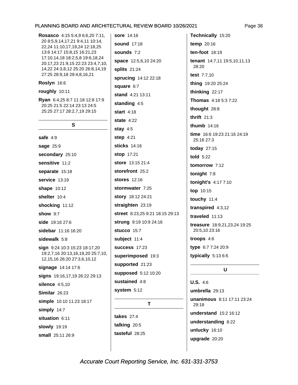| Rosasco 4:15 5:4,9 6:6,20 7:11,<br>20 8:5,9,14,17,21 9:4,11 10:14,<br>22,24 11:10,17,19,24 12:18,25<br>13:6 14:17 15:8,15 16:21,23<br>17:10,14,18 18:2,5,8 19:6,18,24<br>20:17,23 21:9,15 22:23 23:4,7,10,<br>14,22 24:3,8,12 25:20 26:8,14,19<br>27:25 28:9,18 29:4,8,16,21 |
|------------------------------------------------------------------------------------------------------------------------------------------------------------------------------------------------------------------------------------------------------------------------------|
| Roslyn 16:6                                                                                                                                                                                                                                                                  |
| roughly 10:11                                                                                                                                                                                                                                                                |
| <b>Ryan</b> 6:4,25 8:7 11:18 12:8 17:9<br>20:25 21:5 22:14 23:13 24:5<br>25:25 27:17 28:2,7,19 29:15                                                                                                                                                                         |
| S                                                                                                                                                                                                                                                                            |
| safe $4:9$                                                                                                                                                                                                                                                                   |
| sage 25:9                                                                                                                                                                                                                                                                    |
| secondary 25:10                                                                                                                                                                                                                                                              |
| sensitive 11:2                                                                                                                                                                                                                                                               |
| separate 15:18                                                                                                                                                                                                                                                               |
| service 13:19                                                                                                                                                                                                                                                                |
| <b>shape</b> 10:12                                                                                                                                                                                                                                                           |
| shelter 10:4                                                                                                                                                                                                                                                                 |
| shocking 11:12                                                                                                                                                                                                                                                               |
| <b>show</b> 9:7                                                                                                                                                                                                                                                              |
| side 19:16 27:6                                                                                                                                                                                                                                                              |
| <b>sidebar</b> 11:16 16:20                                                                                                                                                                                                                                                   |
| sidewalk 5:8                                                                                                                                                                                                                                                                 |
| sign 9:24 10:3 15:23 18:17,20<br>19:2,7,16 20:13,16,19,20 25:7,10,<br>12,15,16 26:20 27:3,6,10,12                                                                                                                                                                            |
| signage 14:14 17:6                                                                                                                                                                                                                                                           |
| signs 19:16,17,19 26:22 29:13                                                                                                                                                                                                                                                |
| silence 4:5,10                                                                                                                                                                                                                                                               |
| Similar 26:23                                                                                                                                                                                                                                                                |
| simple 10:10 11:23 18:17                                                                                                                                                                                                                                                     |
| simply 14:7                                                                                                                                                                                                                                                                  |
| situation 6:11                                                                                                                                                                                                                                                               |
| <b>slowly</b> 19:19                                                                                                                                                                                                                                                          |
| small 25:11 26:9                                                                                                                                                                                                                                                             |

**sore** 14:16 **sound** 17:18 sounds  $7:2$ space 12:5,6,10 24:20 splits 21:24 sprucing 14:12 22:18 square 6:7 stand 4:21 13:11 standing 4:5 start  $4:18$ state  $4:22$ stay  $4:5$ step  $4:21$ sticks 14:16 stop 17:21 store 13:15 21:4 storefront 25:2 stores 12:16 stormwater 7:25 story 18:12 24:21 straighten 23:19 street 8:23,25 9:21 18:15 29:13 strung 9:19 10:9 24:16 stucco 15:7 subject 11:4 **success** 17:23 superimposed 19:3 supported 21:23 supposed 5:12 10:20 sustained 4:8 system  $5:12$ 

T

takes 27:4 talking 20:5 tasteful 28:25

Technically 15:20 temp 20:16 ten-foot  $18:19$ tenant 14:7,11 19:5,10,11,13 28:20 test 7:7,10 thing 19:20 25:24 thinking 22:17 Thomas 4:18 5:3 7:22 thought 28:8 thrift  $21:3$ thumb 14:16 time 16:6 19:23 21:16 24:19 25:16 27:3 today 27:15 told 5:22 tomorrow 7:12 tonight 7:8 tonight's 4:17 7:10 top 10:15 touchy 11:4 transpired 4:3,12 traveled 11:13 treasure 18:9,21,23,24 19:25 20:5,10 23:16 troops  $4:6$ type 6:7 7:24 20:9 typically  $5:136:6$ 

### $\mathbf U$

 $U.S. 4:6$ umbrella 29:13 unanimous 8:11 17:11 23:24 29:18 understand 15:2 16:12 understanding 8:22 unlucky 16:10 upgrade 20:20